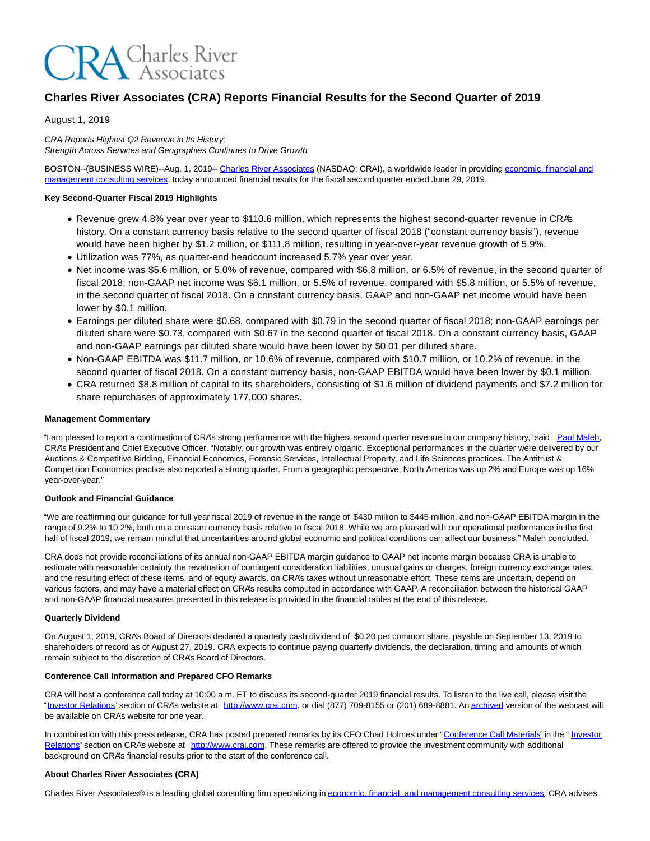

# **Charles River Associates (CRA) Reports Financial Results for the Second Quarter of 2019**

### August 1, 2019

CRA Reports Highest Q2 Revenue in Its History; Strength Across Services and Geographies Continues to Drive Growth

BOSTON--(BUSINESS WIRE)--Aug. 1, 2019-[- Charles River Associates \(](https://cts.businesswire.com/ct/CT?id=smartlink&url=http%3A%2F%2Fwww.crai.com%2FDefault.aspx&esheet=52024495&newsitemid=20190801005534&lan=en-US&anchor=Charles+River+Associates&index=1&md5=4f256d68911df02149210b8c502a5890)NASDAQ: CRAI), a worldwide leader in providing [economic, financial and](https://cts.businesswire.com/ct/CT?id=smartlink&url=http%3A%2F%2Fwww.crai.com%2F&esheet=52024495&newsitemid=20190801005534&lan=en-US&anchor=economic%2C+financial+and+management+consulting+services&index=2&md5=6ed569fe256defa1bc08bb8a48c54698) management consulting services, today announced financial results for the fiscal second quarter ended June 29, 2019.

#### **Key Second-Quarter Fiscal 2019 Highlights**

- Revenue grew 4.8% year over year to \$110.6 million, which represents the highest second-quarter revenue in CRA's history. On a constant currency basis relative to the second quarter of fiscal 2018 ("constant currency basis"), revenue would have been higher by \$1.2 million, or \$111.8 million, resulting in year-over-year revenue growth of 5.9%.
- Utilization was 77%, as quarter-end headcount increased 5.7% year over year.
- Net income was \$5.6 million, or 5.0% of revenue, compared with \$6.8 million, or 6.5% of revenue, in the second quarter of fiscal 2018; non-GAAP net income was \$6.1 million, or 5.5% of revenue, compared with \$5.8 million, or 5.5% of revenue, in the second quarter of fiscal 2018. On a constant currency basis, GAAP and non-GAAP net income would have been lower by \$0.1 million.
- Earnings per diluted share were \$0.68, compared with \$0.79 in the second quarter of fiscal 2018; non-GAAP earnings per diluted share were \$0.73, compared with \$0.67 in the second quarter of fiscal 2018. On a constant currency basis, GAAP and non-GAAP earnings per diluted share would have been lower by \$0.01 per diluted share.
- Non-GAAP EBITDA was \$11.7 million, or 10.6% of revenue, compared with \$10.7 million, or 10.2% of revenue, in the second quarter of fiscal 2018. On a constant currency basis, non-GAAP EBITDA would have been lower by \$0.1 million.
- CRA returned \$8.8 million of capital to its shareholders, consisting of \$1.6 million of dividend payments and \$7.2 million for share repurchases of approximately 177,000 shares.

#### **Management Commentary**

"I am pleased to report a continuation of CRA's strong performance with the highest second quarter revenue in our company history," said [Paul Maleh,](https://cts.businesswire.com/ct/CT?id=smartlink&url=http%3A%2F%2Fwww.crai.com%2Fexpert%2Fpaul-maleh&esheet=52024495&newsitemid=20190801005534&lan=en-US&anchor=Paul+Maleh&index=3&md5=e2e650f3f9ada3d471cfacbe268fe83d) CRA's President and Chief Executive Officer. "Notably, our growth was entirely organic. Exceptional performances in the quarter were delivered by our Auctions & Competitive Bidding, Financial Economics, Forensic Services, Intellectual Property, and Life Sciences practices. The Antitrust & Competition Economics practice also reported a strong quarter. From a geographic perspective, North America was up 2% and Europe was up 16% year-over-year."

#### **Outlook and Financial Guidance**

"We are reaffirming our guidance for full year fiscal 2019 of revenue in the range of \$430 million to \$445 million, and non-GAAP EBITDA margin in the range of 9.2% to 10.2%, both on a constant currency basis relative to fiscal 2018. While we are pleased with our operational performance in the first half of fiscal 2019, we remain mindful that uncertainties around global economic and political conditions can affect our business," Maleh concluded.

CRA does not provide reconciliations of its annual non-GAAP EBITDA margin guidance to GAAP net income margin because CRA is unable to estimate with reasonable certainty the revaluation of contingent consideration liabilities, unusual gains or charges, foreign currency exchange rates, and the resulting effect of these items, and of equity awards, on CRA's taxes without unreasonable effort. These items are uncertain, depend on various factors, and may have a material effect on CRA's results computed in accordance with GAAP. A reconciliation between the historical GAAP and non-GAAP financial measures presented in this release is provided in the financial tables at the end of this release.

#### **Quarterly Dividend**

On August 1, 2019, CRA's Board of Directors declared a quarterly cash dividend of \$0.20 per common share, payable on September 13, 2019 to shareholders of record as of August 27, 2019. CRA expects to continue paying quarterly dividends, the declaration, timing and amounts of which remain subject to the discretion of CRA's Board of Directors.

### **Conference Call Information and Prepared CFO Remarks**

CRA will host a conference call today at 10:00 a.m. ET to discuss its second-quarter 2019 financial results. To listen to the live call, please visit the ["Investor Relations"](https://cts.businesswire.com/ct/CT?id=smartlink&url=https%3A%2F%2Fcrainternationalinc.gcs-web.com%2Finvestor-overview&esheet=52024495&newsitemid=20190801005534&lan=en-US&anchor=Investor+Relations&index=4&md5=6520c95a38ec92d8b7d58f0a74227d5a) section of CRA's website at [http://www.crai.com,](https://cts.businesswire.com/ct/CT?id=smartlink&url=http%3A%2F%2Fwww.crai.com%2FDefault.aspx&esheet=52024495&newsitemid=20190801005534&lan=en-US&anchor=http%3A%2F%2Fwww.crai.com&index=5&md5=e659f176881559b0b9bea17ae903310c) or dial (877) 709-8155 or (201) 689-8881. A[n archived v](https://cts.businesswire.com/ct/CT?id=smartlink&url=https%3A%2F%2Fcrainternationalinc.gcs-web.com%2Fevents-and-presentations%2Fpast-event&esheet=52024495&newsitemid=20190801005534&lan=en-US&anchor=archived&index=6&md5=903f4ff61d7dada3279822a075c38373)ersion of the webcast will be available on CRA's website for one year.

In combination with this press release, CRA has posted prepared remarks by its CFO Chad Holmes under ["Conference Call Materials"](https://cts.businesswire.com/ct/CT?id=smartlink&url=https%3A%2F%2Fcrainternationalinc.gcs-web.com%2Ffinancial-information%2Fquarterly-results&esheet=52024495&newsitemid=20190801005534&lan=en-US&anchor=Conference+Call+Materials&index=7&md5=a45af829034f93eecc5701030821a90e) in the " [Investor](https://cts.businesswire.com/ct/CT?id=smartlink&url=https%3A%2F%2Fcrainternationalinc.gcs-web.com%2Finvestor-overview&esheet=52024495&newsitemid=20190801005534&lan=en-US&anchor=Investor+Relations&index=8&md5=f79afc7b4ae812ad2734bbce25a718cd) Relations" section on CRA's website at [http://www.crai.com.](https://cts.businesswire.com/ct/CT?id=smartlink&url=http%3A%2F%2Fwww.crai.com%2FDefault.aspx&esheet=52024495&newsitemid=20190801005534&lan=en-US&anchor=http%3A%2F%2Fwww.crai.com&index=9&md5=2af487e4eb296af3be4c6093135f4bac) These remarks are offered to provide the investment community with additional background on CRA's financial results prior to the start of the conference call.

#### **About Charles River Associates (CRA)**

Charles River Associates® is a leading global consulting firm specializing i[n economic, financial, and management consulting services.](https://cts.businesswire.com/ct/CT?id=smartlink&url=http%3A%2F%2Fwww.crai.com%2F&esheet=52024495&newsitemid=20190801005534&lan=en-US&anchor=economic%2C+financial%2C+and+management+consulting+services&index=10&md5=124f6c1046d3e0494a3bf6023731b139) CRA advises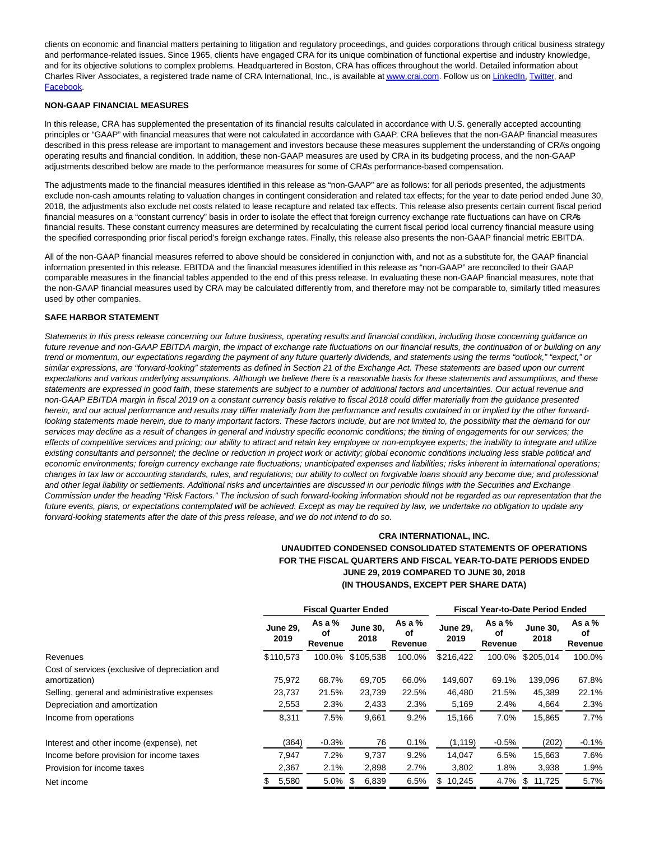clients on economic and financial matters pertaining to litigation and regulatory proceedings, and guides corporations through critical business strategy and performance-related issues. Since 1965, clients have engaged CRA for its unique combination of functional expertise and industry knowledge, and for its objective solutions to complex problems. Headquartered in Boston, CRA has offices throughout the world. Detailed information about Charles River Associates, a registered trade name of CRA International, Inc., is available a[t www.crai.com.](https://cts.businesswire.com/ct/CT?id=smartlink&url=http%3A%2F%2Fwww.crai.com&esheet=52024495&newsitemid=20190801005534&lan=en-US&anchor=www.crai.com&index=11&md5=006ec8e86bd9567d9f417d52c5791d23) Follow us o[n LinkedIn,](https://cts.businesswire.com/ct/CT?id=smartlink&url=https%3A%2F%2Fwww.linkedin.com%2Fcompany%2Fcharles-river-associates&esheet=52024495&newsitemid=20190801005534&lan=en-US&anchor=LinkedIn&index=12&md5=675895ddc62239a37448eb6322c3089e) [Twitter,](https://cts.businesswire.com/ct/CT?id=smartlink&url=https%3A%2F%2Ftwitter.com%2FNews_CRA&esheet=52024495&newsitemid=20190801005534&lan=en-US&anchor=Twitter&index=13&md5=71a7d662fc5121e0cc042043214b3835) and [Facebook.](https://cts.businesswire.com/ct/CT?id=smartlink&url=https%3A%2F%2Fwww.facebook.com%2FCharlesRiverAssociates&esheet=52024495&newsitemid=20190801005534&lan=en-US&anchor=Facebook&index=14&md5=1375ec97e487fc0b8d4bc32a3f818581)

#### **NON-GAAP FINANCIAL MEASURES**

In this release, CRA has supplemented the presentation of its financial results calculated in accordance with U.S. generally accepted accounting principles or "GAAP" with financial measures that were not calculated in accordance with GAAP. CRA believes that the non-GAAP financial measures described in this press release are important to management and investors because these measures supplement the understanding of CRA's ongoing operating results and financial condition. In addition, these non-GAAP measures are used by CRA in its budgeting process, and the non-GAAP adjustments described below are made to the performance measures for some of CRA's performance-based compensation.

The adjustments made to the financial measures identified in this release as "non-GAAP" are as follows: for all periods presented, the adjustments exclude non-cash amounts relating to valuation changes in contingent consideration and related tax effects; for the year to date period ended June 30, 2018, the adjustments also exclude net costs related to lease recapture and related tax effects. This release also presents certain current fiscal period financial measures on a "constant currency" basis in order to isolate the effect that foreign currency exchange rate fluctuations can have on CRA's financial results. These constant currency measures are determined by recalculating the current fiscal period local currency financial measure using the specified corresponding prior fiscal period's foreign exchange rates. Finally, this release also presents the non-GAAP financial metric EBITDA.

All of the non-GAAP financial measures referred to above should be considered in conjunction with, and not as a substitute for, the GAAP financial information presented in this release. EBITDA and the financial measures identified in this release as "non-GAAP" are reconciled to their GAAP comparable measures in the financial tables appended to the end of this press release. In evaluating these non-GAAP financial measures, note that the non-GAAP financial measures used by CRA may be calculated differently from, and therefore may not be comparable to, similarly titled measures used by other companies.

#### **SAFE HARBOR STATEMENT**

Statements in this press release concerning our future business, operating results and financial condition, including those concerning guidance on future revenue and non-GAAP EBITDA margin, the impact of exchange rate fluctuations on our financial results, the continuation of or building on any trend or momentum, our expectations regarding the payment of any future quarterly dividends, and statements using the terms "outlook," "expect," or similar expressions, are "forward-looking" statements as defined in Section 21 of the Exchange Act. These statements are based upon our current expectations and various underlying assumptions. Although we believe there is a reasonable basis for these statements and assumptions, and these statements are expressed in good faith, these statements are subject to a number of additional factors and uncertainties. Our actual revenue and non-GAAP EBITDA margin in fiscal 2019 on a constant currency basis relative to fiscal 2018 could differ materially from the guidance presented herein, and our actual performance and results may differ materially from the performance and results contained in or implied by the other forwardlooking statements made herein, due to many important factors. These factors include, but are not limited to, the possibility that the demand for our services may decline as a result of changes in general and industry specific economic conditions; the timing of engagements for our services; the effects of competitive services and pricing; our ability to attract and retain key employee or non-employee experts; the inability to integrate and utilize existing consultants and personnel; the decline or reduction in project work or activity; global economic conditions including less stable political and economic environments; foreign currency exchange rate fluctuations; unanticipated expenses and liabilities; risks inherent in international operations; changes in tax law or accounting standards, rules, and regulations; our ability to collect on forgivable loans should any become due; and professional and other legal liability or settlements. Additional risks and uncertainties are discussed in our periodic filings with the Securities and Exchange Commission under the heading "Risk Factors." The inclusion of such forward-looking information should not be regarded as our representation that the future events, plans, or expectations contemplated will be achieved. Except as may be required by law, we undertake no obligation to update any forward-looking statements after the date of this press release, and we do not intend to do so.

### **CRA INTERNATIONAL, INC. UNAUDITED CONDENSED CONSOLIDATED STATEMENTS OF OPERATIONS FOR THE FISCAL QUARTERS AND FISCAL YEAR-TO-DATE PERIODS ENDED JUNE 29, 2019 COMPARED TO JUNE 30, 2018 (IN THOUSANDS, EXCEPT PER SHARE DATA)**

|                                                                  |                         | <b>Fiscal Quarter Ended</b> |                         | <b>Fiscal Year-to-Date Period Ended</b> |                         |                           |                  |                           |  |
|------------------------------------------------------------------|-------------------------|-----------------------------|-------------------------|-----------------------------------------|-------------------------|---------------------------|------------------|---------------------------|--|
|                                                                  | <b>June 29.</b><br>2019 | As a $%$<br>οf<br>Revenue   | <b>June 30,</b><br>2018 | As a %<br>οf<br>Revenue                 | <b>June 29,</b><br>2019 | As a $%$<br>οf<br>Revenue | June 30.<br>2018 | As a $%$<br>οf<br>Revenue |  |
| Revenues                                                         | \$110,573               | 100.0%                      | \$105,538               | 100.0%                                  | \$216,422               | 100.0%                    | \$205,014        | 100.0%                    |  |
| Cost of services (exclusive of depreciation and<br>amortization) | 75,972                  | 68.7%                       | 69.705                  | 66.0%                                   | 149,607                 | 69.1%                     | 139,096          | 67.8%                     |  |
| Selling, general and administrative expenses                     | 23,737                  | 21.5%                       | 23,739                  | 22.5%                                   | 46,480                  | 21.5%                     | 45,389           | 22.1%                     |  |
| Depreciation and amortization                                    | 2,553                   | 2.3%                        | 2,433                   | 2.3%                                    | 5,169                   | 2.4%                      | 4,664            | 2.3%                      |  |
| Income from operations                                           | 8,311                   | 7.5%                        | 9,661                   | 9.2%                                    | 15,166                  | 7.0%                      | 15,865           | 7.7%                      |  |
| Interest and other income (expense), net                         | (364)                   | $-0.3%$                     | 76                      | 0.1%                                    | (1, 119)                | $-0.5%$                   | (202)            | $-0.1%$                   |  |
| Income before provision for income taxes                         | 7,947                   | 7.2%                        | 9,737                   | 9.2%                                    | 14,047                  | 6.5%                      | 15,663           | 7.6%                      |  |
| Provision for income taxes                                       | 2,367                   | 2.1%                        | 2,898                   | 2.7%                                    | 3,802                   | 1.8%                      | 3,938            | 1.9%                      |  |
| Net income                                                       | 5,580<br>\$             | 5.0%                        | 6,839<br>S              | 6.5%                                    | \$10,245                | 4.7%                      | 11.725<br>S.     | 5.7%                      |  |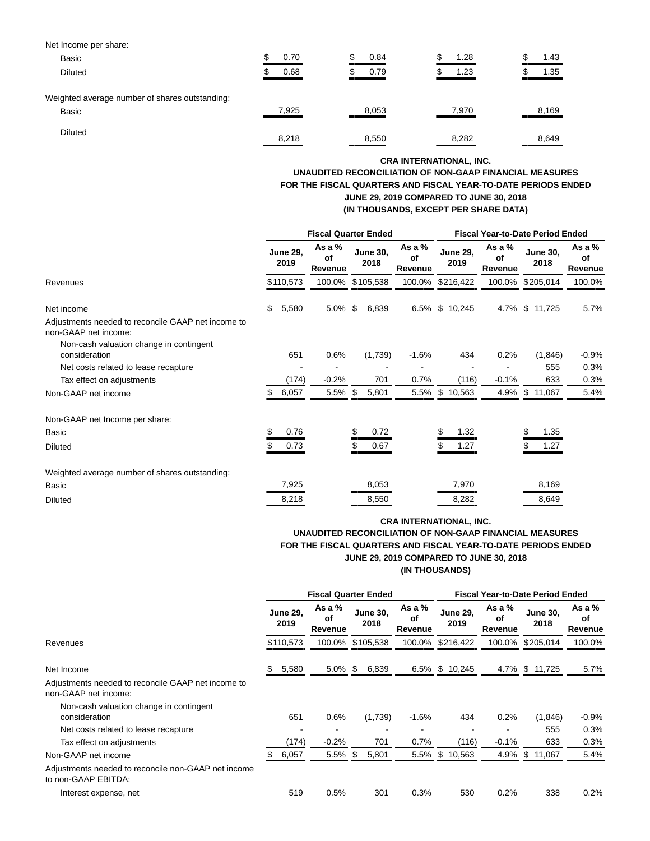Net Income per share:

| Basic                                          | 0.70  | 0.84  | 1.28<br>c<br>Ф | 1.43  |
|------------------------------------------------|-------|-------|----------------|-------|
| <b>Diluted</b>                                 | 0.68  | 0.79  | 1.23<br>Œ.     | 1.35  |
| Weighted average number of shares outstanding: |       |       |                |       |
| Basic                                          | 7,925 | 8,053 | 7.970          | 8,169 |
| <b>Diluted</b>                                 | 8,218 | 8,550 | 8,282          | 8,649 |

# **CRA INTERNATIONAL, INC. UNAUDITED RECONCILIATION OF NON-GAAP FINANCIAL MEASURES FOR THE FISCAL QUARTERS AND FISCAL YEAR-TO-DATE PERIODS ENDED JUNE 29, 2019 COMPARED TO JUNE 30, 2018 (IN THOUSANDS, EXCEPT PER SHARE DATA)**

|                                                                            | <b>Fiscal Quarter Ended</b> |                         |                         |    |                         |                                  |    | <b>Fiscal Year-to-Date Period Ended</b> |                         |                         |                           |  |  |  |
|----------------------------------------------------------------------------|-----------------------------|-------------------------|-------------------------|----|-------------------------|----------------------------------|----|-----------------------------------------|-------------------------|-------------------------|---------------------------|--|--|--|
|                                                                            |                             | <b>June 29,</b><br>2019 | As a %<br>оf<br>Revenue |    | <b>June 30,</b><br>2018 | As a $%$<br>оf<br><b>Revenue</b> |    | <b>June 29,</b><br>2019                 | As a %<br>οf<br>Revenue | <b>June 30,</b><br>2018 | As a $%$<br>οf<br>Revenue |  |  |  |
| Revenues                                                                   |                             | \$110,573               | 100.0%                  |    | \$105,538               | 100.0%                           |    | \$216,422                               | 100.0%                  | \$205,014               | 100.0%                    |  |  |  |
| Net income                                                                 | \$                          | 5,580                   | $5.0\%$ \$              |    | 6,839                   |                                  |    | 6.5% \$ 10,245                          | 4.7%                    | \$11,725                | 5.7%                      |  |  |  |
| Adjustments needed to reconcile GAAP net income to<br>non-GAAP net income: |                             |                         |                         |    |                         |                                  |    |                                         |                         |                         |                           |  |  |  |
| Non-cash valuation change in contingent<br>consideration                   |                             | 651                     | 0.6%                    |    | (1,739)                 | $-1.6%$                          |    | 434                                     | 0.2%                    | (1,846)                 | $-0.9%$                   |  |  |  |
| Net costs related to lease recapture                                       |                             |                         |                         |    |                         |                                  |    |                                         |                         | 555                     | 0.3%                      |  |  |  |
| Tax effect on adjustments                                                  |                             | (174)                   | $-0.2%$                 |    | 701                     | 0.7%                             |    | (116)                                   | $-0.1%$                 | 633                     | 0.3%                      |  |  |  |
| Non-GAAP net income                                                        | S                           | 6,057                   | 5.5%                    | \$ | 5,801                   | 5.5%                             |    | \$10,563                                | 4.9%                    | 11,067<br>S.            | 5.4%                      |  |  |  |
| Non-GAAP net Income per share:                                             |                             |                         |                         |    |                         |                                  |    |                                         |                         |                         |                           |  |  |  |
| Basic                                                                      | \$                          | 0.76                    |                         | \$ | 0.72                    |                                  | \$ | 1.32                                    |                         | 1.35<br>\$.             |                           |  |  |  |
| <b>Diluted</b>                                                             |                             | 0.73                    |                         |    | 0.67                    |                                  | \$ | 1.27                                    |                         | 1.27                    |                           |  |  |  |
| Weighted average number of shares outstanding:                             |                             |                         |                         |    |                         |                                  |    |                                         |                         |                         |                           |  |  |  |
| Basic                                                                      |                             | 7,925                   |                         |    | 8,053                   |                                  |    | 7,970                                   |                         | 8,169                   |                           |  |  |  |
| Diluted                                                                    |                             | 8,218                   |                         |    | 8,550                   |                                  |    | 8,282                                   |                         | 8,649                   |                           |  |  |  |

### **CRA INTERNATIONAL, INC.**

# **UNAUDITED RECONCILIATION OF NON-GAAP FINANCIAL MEASURES FOR THE FISCAL QUARTERS AND FISCAL YEAR-TO-DATE PERIODS ENDED JUNE 29, 2019 COMPARED TO JUNE 30, 2018 (IN THOUSANDS)**

|                                                                            | <b>Fiscal Quarter Ended</b> |                         |                           |      |                         |                           | <b>Fiscal Year-to-Date Period Ended</b> |                         |                           |                         |                         |  |  |
|----------------------------------------------------------------------------|-----------------------------|-------------------------|---------------------------|------|-------------------------|---------------------------|-----------------------------------------|-------------------------|---------------------------|-------------------------|-------------------------|--|--|
|                                                                            |                             | <b>June 29.</b><br>2019 | As a $%$<br>οf<br>Revenue |      | <b>June 30,</b><br>2018 | As a $%$<br>οf<br>Revenue |                                         | <b>June 29.</b><br>2019 | As a $%$<br>оf<br>Revenue | <b>June 30,</b><br>2018 | As a %<br>οf<br>Revenue |  |  |
| Revenues                                                                   |                             | \$110,573               | 100.0%                    |      | \$105,538               | 100.0%                    |                                         | \$216,422               | 100.0%                    | \$205,014               | 100.0%                  |  |  |
| Net Income                                                                 | \$                          | 5,580                   | 5.0%                      | - \$ | 6,839                   | 6.5%                      |                                         | \$10,245                | 4.7%                      | \$11,725                | $5.7\%$                 |  |  |
| Adjustments needed to reconcile GAAP net income to<br>non-GAAP net income: |                             |                         |                           |      |                         |                           |                                         |                         |                           |                         |                         |  |  |
| Non-cash valuation change in contingent<br>consideration                   |                             | 651                     | 0.6%                      |      | (1,739)                 | $-1.6%$                   |                                         | 434                     | 0.2%                      | (1,846)                 | $-0.9%$                 |  |  |
| Net costs related to lease recapture                                       |                             |                         |                           |      |                         |                           |                                         |                         |                           | 555                     | 0.3%                    |  |  |
| Tax effect on adjustments                                                  |                             | (174)                   | $-0.2%$                   |      | 701                     | 0.7%                      |                                         | (116)                   | $-0.1\%$                  | 633                     | 0.3%                    |  |  |
| Non-GAAP net income                                                        |                             | 6,057                   | 5.5%                      | -\$  | 5,801                   | 5.5%                      | \$                                      | 10,563                  | 4.9%                      | S.<br>11,067            | 5.4%                    |  |  |
| Adjustments needed to reconcile non-GAAP net income<br>to non-GAAP EBITDA: |                             |                         |                           |      |                         |                           |                                         |                         |                           |                         |                         |  |  |
| Interest expense, net                                                      |                             | 519                     | 0.5%                      |      | 301                     | 0.3%                      |                                         | 530                     | 0.2%                      | 338                     | 0.2%                    |  |  |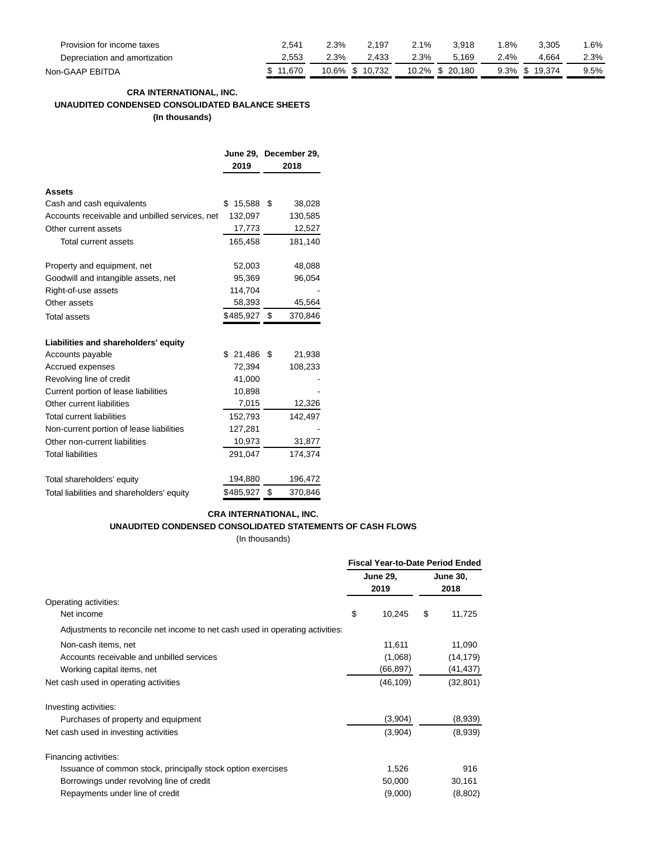| Provision for income taxes    | 2.541    | 2.3% | 2.197           | $2.1\%$ | 3.918           | $1.8\%$ | 3.305          | 1.6%    |
|-------------------------------|----------|------|-----------------|---------|-----------------|---------|----------------|---------|
| Depreciation and amortization | 2.553    | 2.3% | 2.433           | 2.3%    | 5.169           | 2.4%    | 4.664          | $2.3\%$ |
| Non-GAAP EBITDA               | \$11.670 |      | 10.6% \$ 10.732 |         | 10.2% \$ 20.180 |         | 9.3% \$ 19.374 | $9.5\%$ |

# **CRA INTERNATIONAL, INC. UNAUDITED CONDENSED CONSOLIDATED BALANCE SHEETS (In thousands)**

|                                                |              | June 29, December 29, |
|------------------------------------------------|--------------|-----------------------|
|                                                | 2019         | 2018                  |
| <b>Assets</b>                                  |              |                       |
| Cash and cash equivalents                      | \$15,588     | - \$<br>38,028        |
| Accounts receivable and unbilled services, net | 132,097      | 130,585               |
| Other current assets                           | 17,773       | 12,527                |
| Total current assets                           | 165,458      | 181,140               |
| Property and equipment, net                    | 52,003       | 48,088                |
| Goodwill and intangible assets, net            | 95,369       | 96,054                |
| Right-of-use assets                            | 114,704      |                       |
| Other assets                                   | 58,393       | 45,564                |
| <b>Total assets</b>                            | \$485,927 \$ | 370,846               |
| Liabilities and shareholders' equity           |              |                       |
| Accounts payable                               | \$21,486     | -\$<br>21,938         |
| Accrued expenses                               | 72,394       | 108,233               |
| Revolving line of credit                       | 41,000       |                       |
| Current portion of lease liabilities           | 10,898       |                       |
| Other current liabilities                      | 7,015        | 12,326                |
| <b>Total current liabilities</b>               | 152,793      | 142,497               |
| Non-current portion of lease liabilities       | 127,281      |                       |
| Other non-current liabilities                  | 10,973       | 31,877                |
| <b>Total liabilities</b>                       | 291,047      | 174,374               |
| Total shareholders' equity                     | 194,880      | 196,472               |
| Total liabilities and shareholders' equity     | \$485,927    | \$<br>370,846         |

### **CRA INTERNATIONAL, INC.**

# **UNAUDITED CONDENSED CONSOLIDATED STATEMENTS OF CASH FLOWS**

(In thousands)

|                                                                               | <b>Fiscal Year-to-Date Period Ended</b> |                         |    |                         |  |
|-------------------------------------------------------------------------------|-----------------------------------------|-------------------------|----|-------------------------|--|
|                                                                               |                                         | <b>June 29,</b><br>2019 |    | <b>June 30,</b><br>2018 |  |
| Operating activities:                                                         |                                         |                         |    |                         |  |
| Net income                                                                    | \$                                      | 10,245                  | \$ | 11,725                  |  |
| Adjustments to reconcile net income to net cash used in operating activities: |                                         |                         |    |                         |  |
| Non-cash items, net                                                           |                                         | 11,611                  |    | 11,090                  |  |
| Accounts receivable and unbilled services                                     |                                         | (1,068)                 |    | (14, 179)               |  |
| Working capital items, net                                                    |                                         | (66,897)                |    | (41,437)                |  |
| Net cash used in operating activities                                         |                                         | (46, 109)               |    | (32, 801)               |  |
| Investing activities:                                                         |                                         |                         |    |                         |  |
| Purchases of property and equipment                                           |                                         | (3,904)                 |    | (8,939)                 |  |
| Net cash used in investing activities                                         |                                         | (3,904)                 |    | (8,939)                 |  |
| Financing activities:                                                         |                                         |                         |    |                         |  |
| Issuance of common stock, principally stock option exercises                  |                                         | 1,526                   |    | 916                     |  |
| Borrowings under revolving line of credit                                     |                                         | 50,000                  |    | 30,161                  |  |
| Repayments under line of credit                                               |                                         | (9,000)                 |    | (8,802)                 |  |